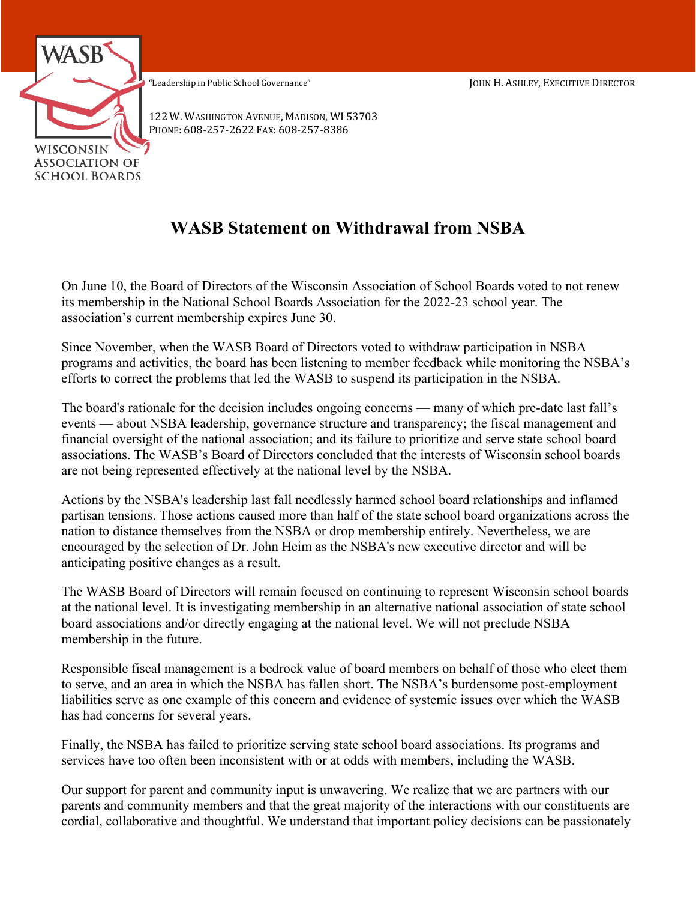

122 W. WASHINGTON AVENUE, MADISON, WI 53703 PHONE: 608-257-2622 FAX: 608-257-8386

## **WASB Statement on Withdrawal from NSBA**

On June 10, the Board of Directors of the Wisconsin Association of School Boards voted to not renew its membership in the National School Boards Association for the 2022-23 school year. The association's current membership expires June 30.

Since November, when the WASB Board of Directors voted to withdraw participation in NSBA programs and activities, the board has been listening to member feedback while monitoring the NSBA's efforts to correct the problems that led the WASB to suspend its participation in the NSBA.

The board's rationale for the decision includes ongoing concerns — many of which pre-date last fall's events — about NSBA leadership, governance structure and transparency; the fiscal management and financial oversight of the national association; and its failure to prioritize and serve state school board associations. The WASB's Board of Directors concluded that the interests of Wisconsin school boards are not being represented effectively at the national level by the NSBA.

Actions by the NSBA's leadership last fall needlessly harmed school board relationships and inflamed partisan tensions. Those actions caused more than half of the state school board organizations across the nation to distance themselves from the NSBA or drop membership entirely. Nevertheless, we are encouraged by the selection of Dr. John Heim as the NSBA's new executive director and will be anticipating positive changes as a result.

The WASB Board of Directors will remain focused on continuing to represent Wisconsin school boards at the national level. It is investigating membership in an alternative national association of state school board associations and/or directly engaging at the national level. We will not preclude NSBA membership in the future.

Responsible fiscal management is a bedrock value of board members on behalf of those who elect them to serve, and an area in which the NSBA has fallen short. The NSBA's burdensome post-employment liabilities serve as one example of this concern and evidence of systemic issues over which the WASB has had concerns for several years.

Finally, the NSBA has failed to prioritize serving state school board associations. Its programs and services have too often been inconsistent with or at odds with members, including the WASB.

Our support for parent and community input is unwavering. We realize that we are partners with our parents and community members and that the great majority of the interactions with our constituents are cordial, collaborative and thoughtful. We understand that important policy decisions can be passionately